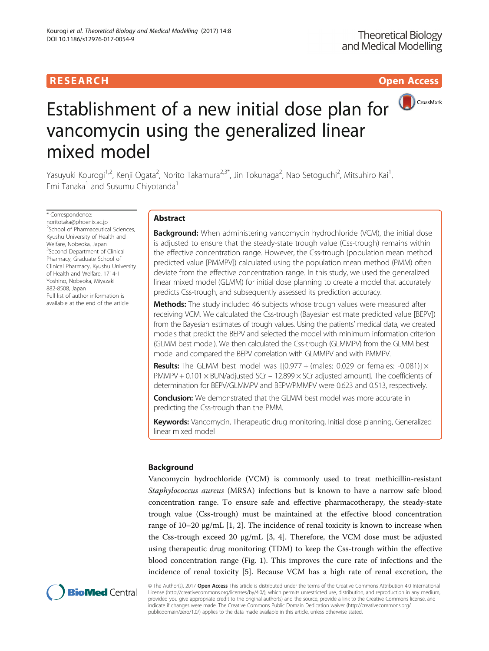## R E S EAR CH Open Access



# Establishment of a new initial dose plan for **D**CrossMark vancomycin using the generalized linear mixed model

Yasuyuki Kourogi<sup>1,2</sup>, Kenji Ogata<sup>2</sup>, Norito Takamura<sup>2,3\*</sup>, Jin Tokunaga<sup>2</sup>, Nao Setoguchi<sup>2</sup>, Mitsuhiro Kai<sup>1</sup> , Emi Tanaka $<sup>1</sup>$  and Susumu Chiyotanda<sup>1</sup></sup>

\* Correspondence: [noritotaka@phoenix.ac.jp](mailto:noritotaka@phoenix.ac.jp) <sup>2</sup>School of Pharmaceutical Sciences, Kyushu University of Health and Welfare, Nobeoka, Japan <sup>3</sup> Second Department of Clinical Pharmacy, Graduate School of Clinical Pharmacy, Kyushu University of Health and Welfare, 1714-1 Yoshino, Nobeoka, Miyazaki 882-8508, Japan Full list of author information is available at the end of the article

## Abstract

**Background:** When administering vancomycin hydrochloride (VCM), the initial dose is adjusted to ensure that the steady-state trough value (Css-trough) remains within the effective concentration range. However, the Css-trough (population mean method predicted value [PMMPV]) calculated using the population mean method (PMM) often deviate from the effective concentration range. In this study, we used the generalized linear mixed model (GLMM) for initial dose planning to create a model that accurately predicts Css-trough, and subsequently assessed its prediction accuracy.

Methods: The study included 46 subjects whose trough values were measured after receiving VCM. We calculated the Css-trough (Bayesian estimate predicted value [BEPV]) from the Bayesian estimates of trough values. Using the patients' medical data, we created models that predict the BEPV and selected the model with minimum information criterion (GLMM best model). We then calculated the Css-trough (GLMMPV) from the GLMM best model and compared the BEPV correlation with GLMMPV and with PMMPV.

**Results:** The GLMM best model was  $\{[0.977 + (males: 0.029 \text{ or females: } -0.081)] \times$ PMMPV + 0.101  $\times$  BUN/adjusted SCr – 12.899  $\times$  SCr adjusted amount}. The coefficients of determination for BEPV/GLMMPV and BEPV/PMMPV were 0.623 and 0.513, respectively.

**Conclusion:** We demonstrated that the GLMM best model was more accurate in predicting the Css-trough than the PMM.

Keywords: Vancomycin, Therapeutic drug monitoring, Initial dose planning, Generalized linear mixed model

## Background

Vancomycin hydrochloride (VCM) is commonly used to treat methicillin-resistant Staphylococcus aureus (MRSA) infections but is known to have a narrow safe blood concentration range. To ensure safe and effective pharmacotherapy, the steady-state trough value (Css-trough) must be maintained at the effective blood concentration range of  $10-20 \mu g/mL$  [[1, 2\]](#page-14-0). The incidence of renal toxicity is known to increase when the Css-trough exceed 20 μg/mL [[3, 4](#page-14-0)]. Therefore, the VCM dose must be adjusted using therapeutic drug monitoring (TDM) to keep the Css-trough within the effective blood concentration range (Fig. [1](#page-1-0)). This improves the cure rate of infections and the incidence of renal toxicity [\[5](#page-14-0)]. Because VCM has a high rate of renal excretion, the



© The Author(s). 2017 Open Access This article is distributed under the terms of the Creative Commons Attribution 4.0 International License ([http://creativecommons.org/licenses/by/4.0/\)](http://creativecommons.org/licenses/by/4.0/), which permits unrestricted use, distribution, and reproduction in any medium, provided you give appropriate credit to the original author(s) and the source, provide a link to the Creative Commons license, and indicate if changes were made. The Creative Commons Public Domain Dedication waiver ([http://creativecommons.org/](http://creativecommons.org/publicdomain/zero/1.0/) [publicdomain/zero/1.0/\)](http://creativecommons.org/publicdomain/zero/1.0/) applies to the data made available in this article, unless otherwise stated.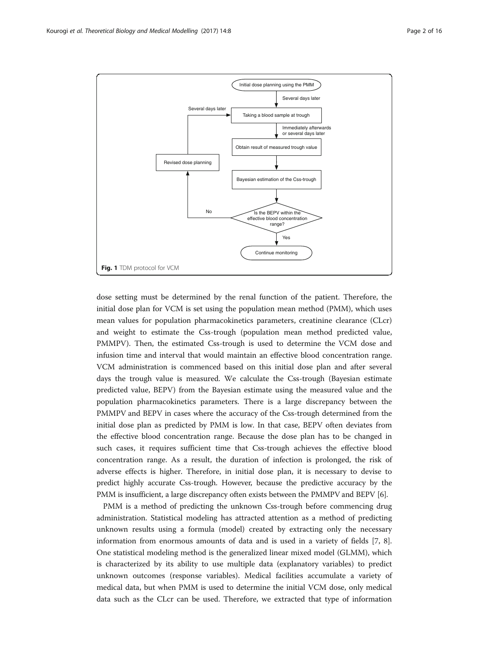<span id="page-1-0"></span>

dose setting must be determined by the renal function of the patient. Therefore, the initial dose plan for VCM is set using the population mean method (PMM), which uses mean values for population pharmacokinetics parameters, creatinine clearance (CLcr) and weight to estimate the Css-trough (population mean method predicted value, PMMPV). Then, the estimated Css-trough is used to determine the VCM dose and infusion time and interval that would maintain an effective blood concentration range. VCM administration is commenced based on this initial dose plan and after several days the trough value is measured. We calculate the Css-trough (Bayesian estimate predicted value, BEPV) from the Bayesian estimate using the measured value and the population pharmacokinetics parameters. There is a large discrepancy between the PMMPV and BEPV in cases where the accuracy of the Css-trough determined from the initial dose plan as predicted by PMM is low. In that case, BEPV often deviates from the effective blood concentration range. Because the dose plan has to be changed in such cases, it requires sufficient time that Css-trough achieves the effective blood concentration range. As a result, the duration of infection is prolonged, the risk of adverse effects is higher. Therefore, in initial dose plan, it is necessary to devise to predict highly accurate Css-trough. However, because the predictive accuracy by the PMM is insufficient, a large discrepancy often exists between the PMMPV and BEPV [[6\]](#page-14-0).

PMM is a method of predicting the unknown Css-trough before commencing drug administration. Statistical modeling has attracted attention as a method of predicting unknown results using a formula (model) created by extracting only the necessary information from enormous amounts of data and is used in a variety of fields [\[7](#page-14-0), [8](#page-15-0)]. One statistical modeling method is the generalized linear mixed model (GLMM), which is characterized by its ability to use multiple data (explanatory variables) to predict unknown outcomes (response variables). Medical facilities accumulate a variety of medical data, but when PMM is used to determine the initial VCM dose, only medical data such as the CLcr can be used. Therefore, we extracted that type of information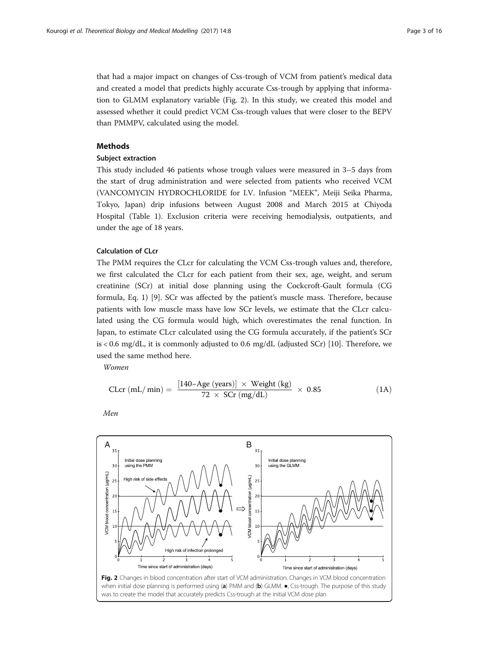that had a major impact on changes of Css-trough of VCM from patient's medical data and created a model that predicts highly accurate Css-trough by applying that information to GLMM explanatory variable (Fig. 2). In this study, we created this model and assessed whether it could predict VCM Css-trough values that were closer to the BEPV than PMMPV, calculated using the model.

#### **Methods**

## Subject extraction

This study included 46 patients whose trough values were measured in 3–5 days from the start of drug administration and were selected from patients who received VCM (VANCOMYCIN HYDROCHLORIDE for I.V. Infusion "MEEK", Meiji Seika Pharma, Tokyo, Japan) drip infusions between August 2008 and March 2015 at Chiyoda Hospital (Table [1\)](#page-3-0). Exclusion criteria were receiving hemodialysis, outpatients, and under the age of 18 years.

## Calculation of CLcr

The PMM requires the CLcr for calculating the VCM Css-trough values and, therefore, we first calculated the CLcr for each patient from their sex, age, weight, and serum creatinine (SCr) at initial dose planning using the Cockcroft-Gault formula (CG formula, Eq. 1) [\[9](#page-15-0)]. SCr was affected by the patient's muscle mass. Therefore, because patients with low muscle mass have low SCr levels, we estimate that the CLcr calculated using the CG formula would high, which overestimates the renal function. In Japan, to estimate CLcr calculated using the CG formula accurately, if the patient's SCr is < 0.6 mg/dL, it is commonly adjusted to 0.6 mg/dL (adjusted SCr) [[10\]](#page-15-0). Therefore, we used the same method here.

Women

$$
\text{CLcr (mL/ min)} = \frac{[140 - \text{Age (years)}] \times \text{Weight (kg)}}{72 \times \text{SCr (mg/dL)}} \times 0.85 \tag{1A}
$$

Men

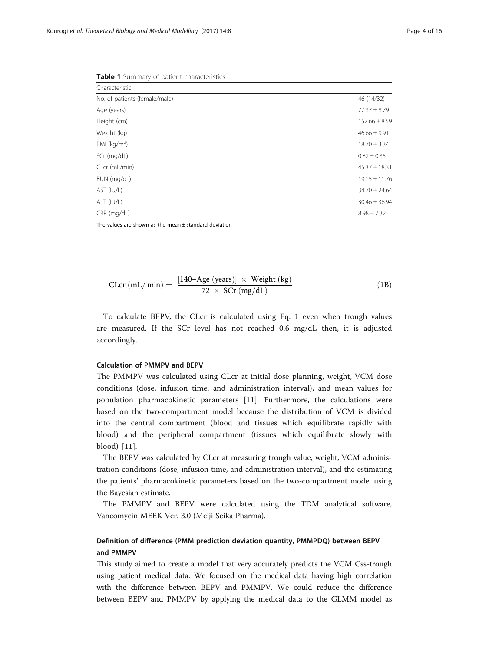<span id="page-3-0"></span>Table 1 Summary of patient characteristics

| Characteristic                |                   |
|-------------------------------|-------------------|
| No. of patients (female/male) | 46 (14/32)        |
| Age (years)                   | $77.37 \pm 8.79$  |
| Height (cm)                   | $157.66 \pm 8.59$ |
| Weight (kg)                   | $46.66 \pm 9.91$  |
| BMI ( $kg/m2$ )               | $18.70 \pm 3.34$  |
| SCr (mg/dL)                   | $0.82 \pm 0.35$   |
| CLcr (mL/min)                 | $45.37 \pm 18.31$ |
| BUN (mg/dL)                   | $19.15 \pm 11.76$ |
| AST (IU/L)                    | $34.70 \pm 24.64$ |
| ALT (IU/L)                    | $30.46 \pm 36.94$ |
| CRP (mg/dL)                   | $8.98 \pm 7.32$   |

The values are shown as the mean + standard deviation

$$
\text{CLcr (mL/min)} = \frac{[140 - \text{Age (years)}] \times \text{Weight (kg)}}{72 \times \text{SCr (mg/dL)}} \tag{1B}
$$

To calculate BEPV, the CLcr is calculated using Eq. 1 even when trough values are measured. If the SCr level has not reached 0.6 mg/dL then, it is adjusted accordingly.

## Calculation of PMMPV and BEPV

The PMMPV was calculated using CLcr at initial dose planning, weight, VCM dose conditions (dose, infusion time, and administration interval), and mean values for population pharmacokinetic parameters [\[11](#page-15-0)]. Furthermore, the calculations were based on the two-compartment model because the distribution of VCM is divided into the central compartment (blood and tissues which equilibrate rapidly with blood) and the peripheral compartment (tissues which equilibrate slowly with blood) [[11\]](#page-15-0).

The BEPV was calculated by CLcr at measuring trough value, weight, VCM administration conditions (dose, infusion time, and administration interval), and the estimating the patients' pharmacokinetic parameters based on the two-compartment model using the Bayesian estimate.

The PMMPV and BEPV were calculated using the TDM analytical software, Vancomycin MEEK Ver. 3.0 (Meiji Seika Pharma).

## Definition of difference (PMM prediction deviation quantity, PMMPDQ) between BEPV and PMMPV

This study aimed to create a model that very accurately predicts the VCM Css-trough using patient medical data. We focused on the medical data having high correlation with the difference between BEPV and PMMPV. We could reduce the difference between BEPV and PMMPV by applying the medical data to the GLMM model as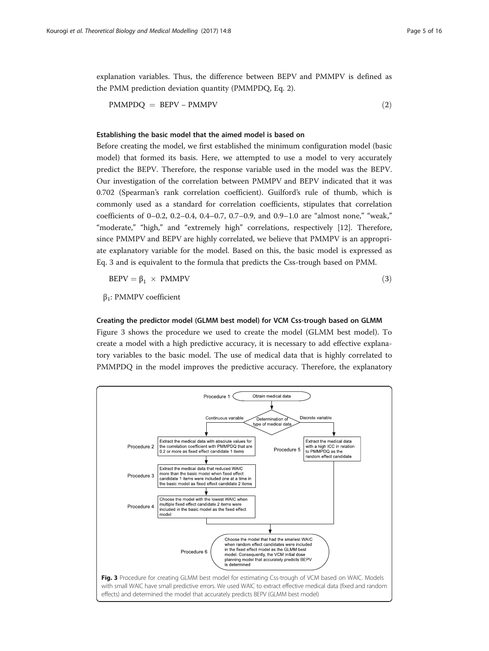<span id="page-4-0"></span>explanation variables. Thus, the difference between BEPV and PMMPV is defined as the PMM prediction deviation quantity (PMMPDQ, Eq. 2).

$$
PMMPDQ = BEPV - PMMPV
$$
 (2)

### Establishing the basic model that the aimed model is based on

Before creating the model, we first established the minimum configuration model (basic model) that formed its basis. Here, we attempted to use a model to very accurately predict the BEPV. Therefore, the response variable used in the model was the BEPV. Our investigation of the correlation between PMMPV and BEPV indicated that it was 0.702 (Spearman's rank correlation coefficient). Guilford's rule of thumb, which is commonly used as a standard for correlation coefficients, stipulates that correlation coefficients of 0–0.2, 0.2–0.4, 0.4–0.7, 0.7–0.9, and 0.9–1.0 are "almost none," "weak," "moderate," "high," and "extremely high" correlations, respectively [\[12](#page-15-0)]. Therefore, since PMMPV and BEPV are highly correlated, we believe that PMMPV is an appropriate explanatory variable for the model. Based on this, the basic model is expressed as Eq. 3 and is equivalent to the formula that predicts the Css-trough based on PMM.

$$
BEPV = \beta_1 \times PMMPV \tag{3}
$$

β1: PMMPV coefficient

Creating the predictor model (GLMM best model) for VCM Css-trough based on GLMM Figure 3 shows the procedure we used to create the model (GLMM best model). To create a model with a high predictive accuracy, it is necessary to add effective explanatory variables to the basic model. The use of medical data that is highly correlated to PMMPDQ in the model improves the predictive accuracy. Therefore, the explanatory

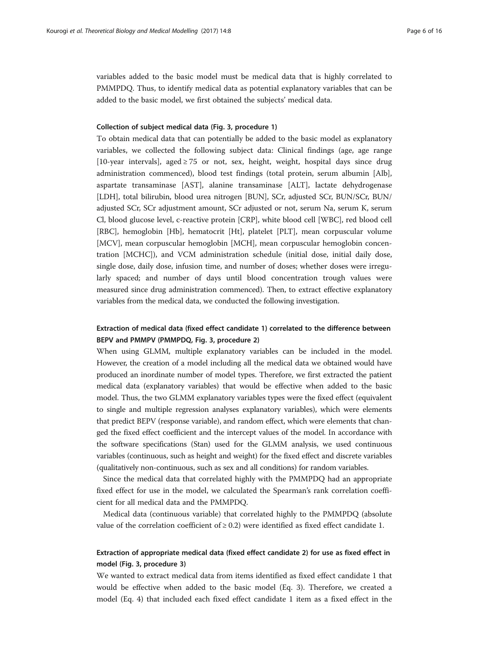variables added to the basic model must be medical data that is highly correlated to PMMPDQ. Thus, to identify medical data as potential explanatory variables that can be added to the basic model, we first obtained the subjects' medical data.

#### Collection of subject medical data (Fig. [3](#page-4-0), procedure 1)

To obtain medical data that can potentially be added to the basic model as explanatory variables, we collected the following subject data: Clinical findings (age, age range [10-year intervals], aged ≥ 75 or not, sex, height, weight, hospital days since drug administration commenced), blood test findings (total protein, serum albumin [Alb], aspartate transaminase [AST], alanine transaminase [ALT], lactate dehydrogenase [LDH], total bilirubin, blood urea nitrogen [BUN], SCr, adjusted SCr, BUN/SCr, BUN/ adjusted SCr, SCr adjustment amount, SCr adjusted or not, serum Na, serum K, serum Cl, blood glucose level, c-reactive protein [CRP], white blood cell [WBC], red blood cell [RBC], hemoglobin [Hb], hematocrit [Ht], platelet [PLT], mean corpuscular volume [MCV], mean corpuscular hemoglobin [MCH], mean corpuscular hemoglobin concentration [MCHC]), and VCM administration schedule (initial dose, initial daily dose, single dose, daily dose, infusion time, and number of doses; whether doses were irregularly spaced; and number of days until blood concentration trough values were measured since drug administration commenced). Then, to extract effective explanatory variables from the medical data, we conducted the following investigation.

## Extraction of medical data (fixed effect candidate 1) correlated to the difference between BEPV and PMMPV (PMMPDQ, Fig. [3,](#page-4-0) procedure 2)

When using GLMM, multiple explanatory variables can be included in the model. However, the creation of a model including all the medical data we obtained would have produced an inordinate number of model types. Therefore, we first extracted the patient medical data (explanatory variables) that would be effective when added to the basic model. Thus, the two GLMM explanatory variables types were the fixed effect (equivalent to single and multiple regression analyses explanatory variables), which were elements that predict BEPV (response variable), and random effect, which were elements that changed the fixed effect coefficient and the intercept values of the model. In accordance with the software specifications (Stan) used for the GLMM analysis, we used continuous variables (continuous, such as height and weight) for the fixed effect and discrete variables (qualitatively non-continuous, such as sex and all conditions) for random variables.

Since the medical data that correlated highly with the PMMPDQ had an appropriate fixed effect for use in the model, we calculated the Spearman's rank correlation coefficient for all medical data and the PMMPDQ.

Medical data (continuous variable) that correlated highly to the PMMPDQ (absolute value of the correlation coefficient of  $\geq 0.2$ ) were identified as fixed effect candidate 1.

## Extraction of appropriate medical data (fixed effect candidate 2) for use as fixed effect in model (Fig. [3](#page-4-0), procedure 3)

We wanted to extract medical data from items identified as fixed effect candidate 1 that would be effective when added to the basic model (Eq. [3](#page-4-0)). Therefore, we created a model (Eq. [4\)](#page-6-0) that included each fixed effect candidate 1 item as a fixed effect in the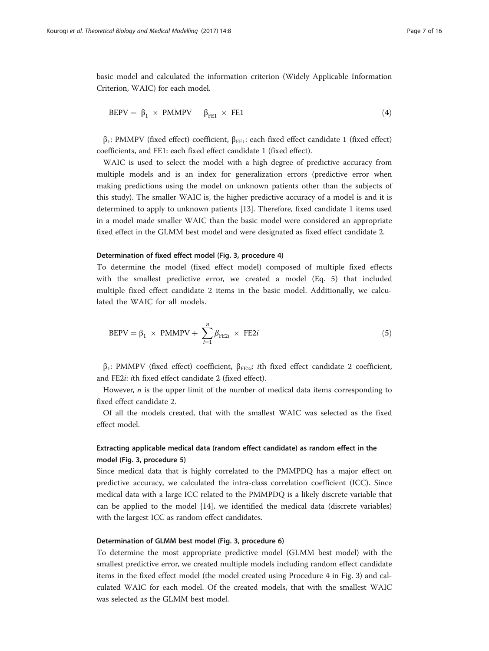<span id="page-6-0"></span>basic model and calculated the information criterion (Widely Applicable Information Criterion, WAIC) for each model.

$$
BEPV = \beta_1 \times PMMPV + \beta_{FE1} \times FE1 \tag{4}
$$

 $β_1$ : PMMPV (fixed effect) coefficient,  $β_{FE1}$ : each fixed effect candidate 1 (fixed effect) coefficients, and FE1: each fixed effect candidate 1 (fixed effect).

WAIC is used to select the model with a high degree of predictive accuracy from multiple models and is an index for generalization errors (predictive error when making predictions using the model on unknown patients other than the subjects of this study). The smaller WAIC is, the higher predictive accuracy of a model is and it is determined to apply to unknown patients [[13\]](#page-15-0). Therefore, fixed candidate 1 items used in a model made smaller WAIC than the basic model were considered an appropriate fixed effect in the GLMM best model and were designated as fixed effect candidate 2.

#### Determination of fixed effect model (Fig. [3](#page-4-0), procedure 4)

To determine the model (fixed effect model) composed of multiple fixed effects with the smallest predictive error, we created a model (Eq. 5) that included multiple fixed effect candidate 2 items in the basic model. Additionally, we calculated the WAIC for all models.

$$
BEPV = \beta_1 \times PMMPV + \sum_{i=1}^{n} \beta_{FE2i} \times FE2i
$$
 (5)

 $β_1$ : PMMPV (fixed effect) coefficient,  $β_{FE2i}$ : ith fixed effect candidate 2 coefficient, and FE2i: ith fixed effect candidate 2 (fixed effect).

However,  $n$  is the upper limit of the number of medical data items corresponding to fixed effect candidate 2.

Of all the models created, that with the smallest WAIC was selected as the fixed effect model.

## Extracting applicable medical data (random effect candidate) as random effect in the model (Fig. [3](#page-4-0), procedure 5)

Since medical data that is highly correlated to the PMMPDQ has a major effect on predictive accuracy, we calculated the intra-class correlation coefficient (ICC). Since medical data with a large ICC related to the PMMPDQ is a likely discrete variable that can be applied to the model [[14\]](#page-15-0), we identified the medical data (discrete variables) with the largest ICC as random effect candidates.

#### Determination of GLMM best model (Fig. [3,](#page-4-0) procedure 6)

To determine the most appropriate predictive model (GLMM best model) with the smallest predictive error, we created multiple models including random effect candidate items in the fixed effect model (the model created using Procedure 4 in Fig. [3](#page-4-0)) and calculated WAIC for each model. Of the created models, that with the smallest WAIC was selected as the GLMM best model.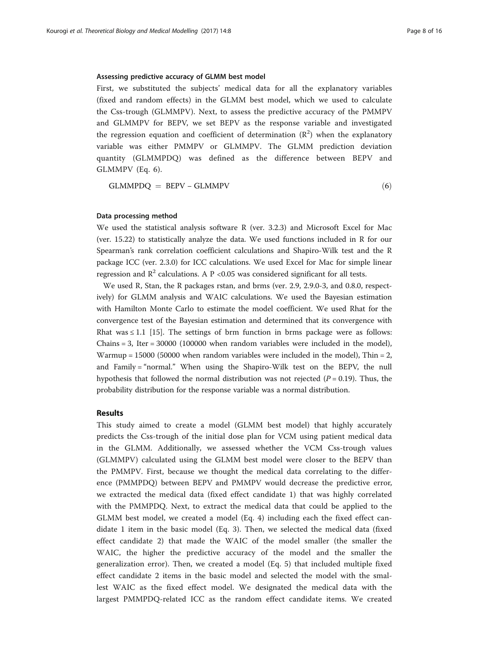#### Assessing predictive accuracy of GLMM best model

First, we substituted the subjects' medical data for all the explanatory variables (fixed and random effects) in the GLMM best model, which we used to calculate the Css-trough (GLMMPV). Next, to assess the predictive accuracy of the PMMPV and GLMMPV for BEPV, we set BEPV as the response variable and investigated the regression equation and coefficient of determination  $(\mathbb{R}^2)$  when the explanatory variable was either PMMPV or GLMMPV. The GLMM prediction deviation quantity (GLMMPDQ) was defined as the difference between BEPV and GLMMPV (Eq. 6).

 $GLMMPDQ = BEPV - GLMMPV$  (6)

#### Data processing method

We used the statistical analysis software R (ver. 3.2.3) and Microsoft Excel for Mac (ver. 15.22) to statistically analyze the data. We used functions included in R for our Spearman's rank correlation coefficient calculations and Shapiro-Wilk test and the R package ICC (ver. 2.3.0) for ICC calculations. We used Excel for Mac for simple linear regression and  $\mathbb{R}^2$  calculations. A P <0.05 was considered significant for all tests.

We used R, Stan, the R packages rstan, and brms (ver. 2.9, 2.9.0-3, and 0.8.0, respectively) for GLMM analysis and WAIC calculations. We used the Bayesian estimation with Hamilton Monte Carlo to estimate the model coefficient. We used Rhat for the convergence test of the Bayesian estimation and determined that its convergence with Rhat was  $\leq$  1.1 [\[15](#page-15-0)]. The settings of brm function in brms package were as follows: Chains  $= 3$ , Iter  $= 30000$  (100000 when random variables were included in the model), Warmup =  $15000$  (50000 when random variables were included in the model), Thin = 2, and Family = "normal." When using the Shapiro-Wilk test on the BEPV, the null hypothesis that followed the normal distribution was not rejected ( $P = 0.19$ ). Thus, the probability distribution for the response variable was a normal distribution.

#### Results

This study aimed to create a model (GLMM best model) that highly accurately predicts the Css-trough of the initial dose plan for VCM using patient medical data in the GLMM. Additionally, we assessed whether the VCM Css-trough values (GLMMPV) calculated using the GLMM best model were closer to the BEPV than the PMMPV. First, because we thought the medical data correlating to the difference (PMMPDQ) between BEPV and PMMPV would decrease the predictive error, we extracted the medical data (fixed effect candidate 1) that was highly correlated with the PMMPDQ. Next, to extract the medical data that could be applied to the GLMM best model, we created a model (Eq. [4\)](#page-6-0) including each the fixed effect candidate 1 item in the basic model (Eq. [3\)](#page-4-0). Then, we selected the medical data (fixed effect candidate 2) that made the WAIC of the model smaller (the smaller the WAIC, the higher the predictive accuracy of the model and the smaller the generalization error). Then, we created a model (Eq. [5\)](#page-6-0) that included multiple fixed effect candidate 2 items in the basic model and selected the model with the smallest WAIC as the fixed effect model. We designated the medical data with the largest PMMPDQ-related ICC as the random effect candidate items. We created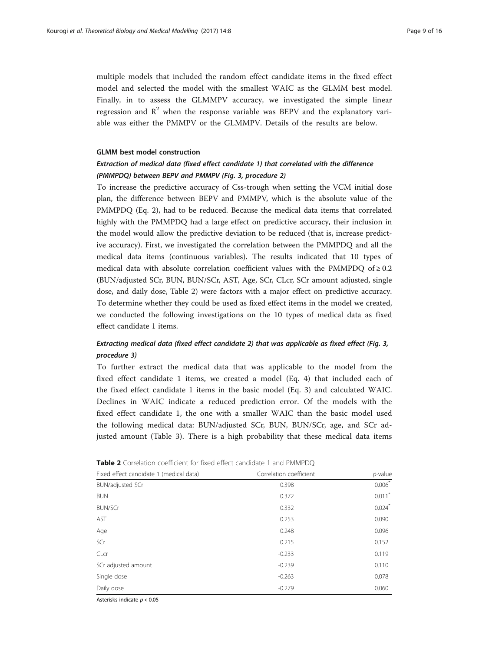multiple models that included the random effect candidate items in the fixed effect model and selected the model with the smallest WAIC as the GLMM best model. Finally, in to assess the GLMMPV accuracy, we investigated the simple linear regression and  $\mathbb{R}^2$  when the response variable was BEPV and the explanatory variable was either the PMMPV or the GLMMPV. Details of the results are below.

## GLMM best model construction

## Extraction of medical data (fixed effect candidate 1) that correlated with the difference (PMMPDQ) between BEPV and PMMPV (Fig. [3](#page-4-0), procedure 2)

To increase the predictive accuracy of Css-trough when setting the VCM initial dose plan, the difference between BEPV and PMMPV, which is the absolute value of the PMMPDQ (Eq. [2](#page-4-0)), had to be reduced. Because the medical data items that correlated highly with the PMMPDQ had a large effect on predictive accuracy, their inclusion in the model would allow the predictive deviation to be reduced (that is, increase predictive accuracy). First, we investigated the correlation between the PMMPDQ and all the medical data items (continuous variables). The results indicated that 10 types of medical data with absolute correlation coefficient values with the PMMPDQ of  $\geq 0.2$ (BUN/adjusted SCr, BUN, BUN/SCr, AST, Age, SCr, CLcr, SCr amount adjusted, single dose, and daily dose, Table 2) were factors with a major effect on predictive accuracy. To determine whether they could be used as fixed effect items in the model we created, we conducted the following investigations on the 10 types of medical data as fixed effect candidate 1 items.

## Extracting medical data (fixed effect candidate 2) that was applicable as fixed effect (Fig. [3](#page-4-0), procedure 3)

To further extract the medical data that was applicable to the model from the fixed effect candidate 1 items, we created a model (Eq. [4](#page-6-0)) that included each of the fixed effect candidate 1 items in the basic model (Eq. [3\)](#page-4-0) and calculated WAIC. Declines in WAIC indicate a reduced prediction error. Of the models with the fixed effect candidate 1, the one with a smaller WAIC than the basic model used the following medical data: BUN/adjusted SCr, BUN, BUN/SCr, age, and SCr adjusted amount (Table [3\)](#page-9-0). There is a high probability that these medical data items

| Fixed effect candidate 1 (medical data) | Correlation coefficient | $p$ -value           |  |
|-----------------------------------------|-------------------------|----------------------|--|
| BUN/adjusted SCr                        | 0.398                   | $0.006^*$            |  |
| <b>BUN</b>                              | 0.372                   | $0.011$ <sup>*</sup> |  |
| <b>BUN/SCr</b>                          | 0.332                   | 0.024                |  |
| <b>AST</b>                              | 0.253                   | 0.090                |  |
| Age                                     | 0.248                   | 0.096                |  |
| SCr                                     | 0.215                   | 0.152                |  |
| CLcr                                    | $-0.233$                | 0.119                |  |
| SCr adjusted amount                     | $-0.239$                | 0.110                |  |
| Single dose                             | $-0.263$                | 0.078                |  |
| Daily dose                              | $-0.279$                | 0.060                |  |

| <b>Table 2</b> Correlation coefficient for fixed effect candidate 1 and PMMPDQ |  |
|--------------------------------------------------------------------------------|--|
|--------------------------------------------------------------------------------|--|

Asterisks indicate  $p < 0.05$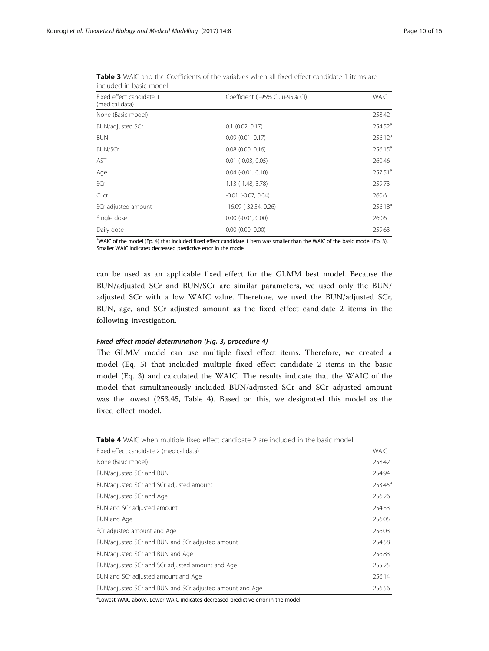| Fixed effect candidate 1<br>(medical data) | Coefficient (I-95% CI, u-95% CI) | <b>WAIC</b>         |  |
|--------------------------------------------|----------------------------------|---------------------|--|
| None (Basic model)                         | -                                | 258.42              |  |
| BUN/adjusted SCr                           | $0.1$ $(0.02, 0.17)$             | 254.52 <sup>a</sup> |  |
| <b>BUN</b>                                 | 0.09(0.01, 0.17)                 | 256.12 <sup>a</sup> |  |
| <b>BUN/SCr</b>                             | $0.08$ $(0.00, 0.16)$            | $256.15^a$          |  |
| <b>AST</b>                                 | $0.01$ ( $-0.03$ , $0.05$ )      | 260.46              |  |
| Age                                        | $0.04$ $(-0.01, 0.10)$           | $257.51^a$          |  |
| SCr                                        | $1.13$ ( $-1.48$ , $3.78$ )      | 259.73              |  |
| CLcr                                       | $-0.01$ $(-0.07, 0.04)$          | 260.6               |  |
| SCr adjusted amount                        | $-16.09$ $(-32.54, 0.26)$        | $256.18^{a}$        |  |
| Single dose                                | $0.00$ ( $-0.01$ , $0.00$ )      | 260.6               |  |
| Daily dose                                 | $0.00$ $(0.00, 0.00)$            | 259.63              |  |

<span id="page-9-0"></span>**Table 3** WAIC and the Coefficients of the variables when all fixed effect candidate 1 items are included in basic model

<sup>a</sup>WAIC of the model (Ep. 4) that included fixed effect candidate 1 item was smaller than the WAIC of the basic model (Ep. 3). Smaller WAIC indicates decreased predictive error in the model

can be used as an applicable fixed effect for the GLMM best model. Because the BUN/adjusted SCr and BUN/SCr are similar parameters, we used only the BUN/ adjusted SCr with a low WAIC value. Therefore, we used the BUN/adjusted SCr, BUN, age, and SCr adjusted amount as the fixed effect candidate 2 items in the following investigation.

## Fixed effect model determination (Fig. [3,](#page-4-0) procedure 4)

The GLMM model can use multiple fixed effect items. Therefore, we created a model (Eq. [5\)](#page-6-0) that included multiple fixed effect candidate 2 items in the basic model (Eq. [3\)](#page-4-0) and calculated the WAIC. The results indicate that the WAIC of the model that simultaneously included BUN/adjusted SCr and SCr adjusted amount was the lowest (253.45, Table 4). Based on this, we designated this model as the fixed effect model.

| Fixed effect candidate 2 (medical data)                  | <b>WAIC</b> |
|----------------------------------------------------------|-------------|
| None (Basic model)                                       | 258.42      |
| BUN/adjusted SCr and BUN                                 | 254.94      |
| BUN/adjusted SCr and SCr adjusted amount                 | $253.45^a$  |
| BUN/adjusted SCr and Age                                 | 256.26      |
| BUN and SCr adjusted amount                              | 254.33      |
| <b>BUN and Age</b>                                       | 256.05      |
| SCr adjusted amount and Age                              | 256.03      |
| BUN/adjusted SCr and BUN and SCr adjusted amount         | 254.58      |
| BUN/adjusted SCr and BUN and Age                         | 256.83      |
| BUN/adjusted SCr and SCr adjusted amount and Age         | 255.25      |
| BUN and SCr adjusted amount and Age                      | 256.14      |
| BUN/adjusted SCr and BUN and SCr adjusted amount and Age | 256.56      |

Table 4 WAIC when multiple fixed effect candidate 2 are included in the basic model

<sup>a</sup>Lowest WAIC above. Lower WAIC indicates decreased predictive error in the model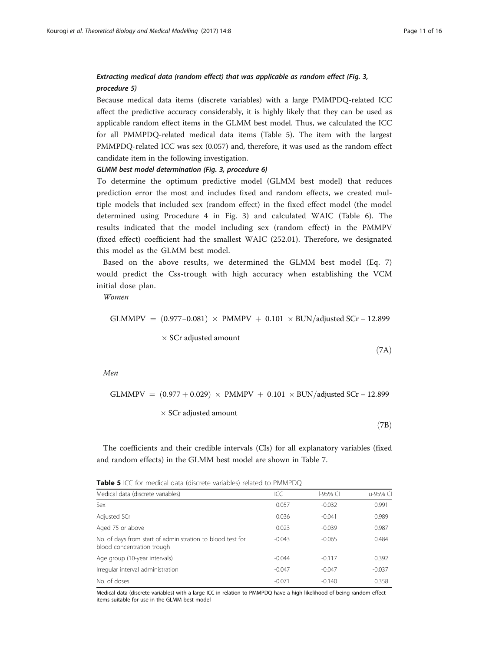## Extracting medical data (random effect) that was applicable as random effect (Fig. [3,](#page-4-0) procedure 5)

Because medical data items (discrete variables) with a large PMMPDQ-related ICC affect the predictive accuracy considerably, it is highly likely that they can be used as applicable random effect items in the GLMM best model. Thus, we calculated the ICC for all PMMPDQ-related medical data items (Table 5). The item with the largest PMMPDQ-related ICC was sex (0.057) and, therefore, it was used as the random effect candidate item in the following investigation.

### GLMM best model determination (Fig. [3,](#page-4-0) procedure 6)

To determine the optimum predictive model (GLMM best model) that reduces prediction error the most and includes fixed and random effects, we created multiple models that included sex (random effect) in the fixed effect model (the model determined using Procedure 4 in Fig. [3](#page-4-0)) and calculated WAIC (Table [6\)](#page-11-0). The results indicated that the model including sex (random effect) in the PMMPV (fixed effect) coefficient had the smallest WAIC (252.01). Therefore, we designated this model as the GLMM best model.

Based on the above results, we determined the GLMM best model (Eq. 7) would predict the Css-trough with high accuracy when establishing the VCM initial dose plan.

Women

GLMMPV = 
$$
(0.977-0.081) \times PMMPV + 0.101 \times BUN/adjusted SCr - 12.899
$$
  
 $\times SCr$  adjusted amount

 $(7A)$ 

Men

GLMMPV = 
$$
(0.977 + 0.029) \times PMMPV + 0.101 \times BUN/adjusted SCr - 12.899
$$
  
× SCr adjusted amount (7B)

The coefficients and their credible intervals (CIs) for all explanatory variables (fixed and random effects) in the GLMM best model are shown in Table [7.](#page-11-0)

| <b>Table 5</b> ICC for medical data (discrete variables) related to PMMPDQ |  |  |
|----------------------------------------------------------------------------|--|--|
|----------------------------------------------------------------------------|--|--|

| Medical data (discrete variables)                                                        | ICC      | I-95% CI | u-95% Cl |
|------------------------------------------------------------------------------------------|----------|----------|----------|
| Sex                                                                                      | 0.057    | $-0.032$ | 0.991    |
| Adjusted SCr                                                                             | 0.036    | $-0.041$ | 0.989    |
| Aged 75 or above                                                                         | 0.023    | $-0.039$ | 0.987    |
| No. of days from start of administration to blood test for<br>blood concentration trough | $-0.043$ | $-0.065$ | 0.484    |
| Age group (10-year intervals)                                                            | $-0.044$ | $-0.117$ | 0.392    |
| Irregular interval administration                                                        | $-0.047$ | $-0.047$ | $-0.037$ |
| No. of doses                                                                             | $-0.071$ | $-0.140$ | 0.358    |

Medical data (discrete variables) with a large ICC in relation to PMMPDQ have a high likelihood of being random effect items suitable for use in the GLMM best model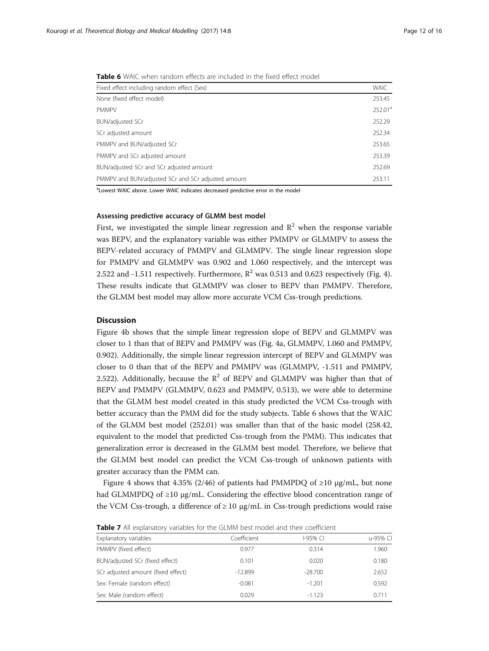| Fixed effect including random effect (Sex)         | <b>WAIC</b>         |
|----------------------------------------------------|---------------------|
| None (fixed effect model)                          | 253.45              |
| <b>PMMPV</b>                                       | 252.01 <sup>a</sup> |
| BUN/adjusted SCr                                   | 252.29              |
| SCr adjusted amount                                | 252.34              |
| PMMPV and BUN/adjusted SCr                         | 253.65              |
| PMMPV and SCr adjusted amount                      | 253.39              |
| BUN/adjusted SCr and SCr adjusted amount           | 252.69              |
| PMMPV and BUN/adjusted SCr and SCr adjusted amount | 253.11              |

<span id="page-11-0"></span>**Table 6** WAIC when random effects are included in the fixed effect model

<sup>a</sup>Lowest WAIC above. Lower WAIC indicates decreased predictive error in the model

## Assessing predictive accuracy of GLMM best model

First, we investigated the simple linear regression and  $R^2$  when the response variable was BEPV, and the explanatory variable was either PMMPV or GLMMPV to assess the BEPV-related accuracy of PMMPV and GLMMPV. The single linear regression slope for PMMPV and GLMMPV was 0.902 and 1.060 respectively, and the intercept was 2.522 and -1.511 respectively. Furthermore,  $R^2$  was 0.513 and 0.623 respectively (Fig. [4](#page-12-0)). These results indicate that GLMMPV was closer to BEPV than PMMPV. Therefore, the GLMM best model may allow more accurate VCM Css-trough predictions.

#### **Discussion**

Figure [4b](#page-12-0) shows that the simple linear regression slope of BEPV and GLMMPV was closer to 1 than that of BEPV and PMMPV was (Fig. [4a](#page-12-0), GLMMPV, 1.060 and PMMPV, 0.902). Additionally, the simple linear regression intercept of BEPV and GLMMPV was closer to 0 than that of the BEPV and PMMPV was (GLMMPV, -1.511 and PMMPV, 2.522). Additionally, because the  $R^2$  of BEPV and GLMMPV was higher than that of BEPV and PMMPV (GLMMPV, 0.623 and PMMPV, 0.513), we were able to determine that the GLMM best model created in this study predicted the VCM Css-trough with better accuracy than the PMM did for the study subjects. Table 6 shows that the WAIC of the GLMM best model (252.01) was smaller than that of the basic model (258.42, equivalent to the model that predicted Css-trough from the PMM). This indicates that generalization error is decreased in the GLMM best model. Therefore, we believe that the GLMM best model can predict the VCM Css-trough of unknown patients with greater accuracy than the PMM can.

Figure [4](#page-12-0) shows that 4.35% (2/46) of patients had PMMPDQ of  $\geq 10 \mu g/mL$ , but none had GLMMPDQ of  $\geq 10 \mu g/mL$ . Considering the effective blood concentration range of the VCM Css-trough, a difference of  $\geq 10 \mu g/mL$  in Css-trough predictions would raise

Table 7 All explanatory variables for the GLMM best model and their coefficient

| Explanatory variables              | Coefficient | $-95%$ CI | u-95% Cl |  |
|------------------------------------|-------------|-----------|----------|--|
| PMMPV (fixed effect)               | 0.977       | 0.314     | 1.960    |  |
| BUN/adjusted SCr (fixed effect)    | 0.101       | 0.020     | 0.180    |  |
| SCr adjusted amount (fixed effect) | $-12.899$   | $-28.700$ | 2.652    |  |
| Sex: Female (random effect)        | $-0.081$    | $-1.201$  | 0.592    |  |
| Sex: Male (random effect)          | 0.029       | $-1.123$  | 0.711    |  |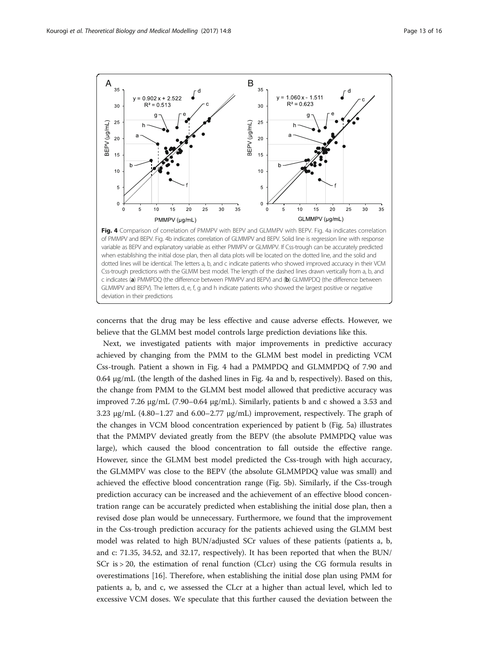<span id="page-12-0"></span>

of PMMPV and BEPV. Fig. 4b indicates correlation of GLMMPV and BEPV. Solid line is regression line with response variable as BEPV and explanatory variable as either PMMPV or GLMMPV. If Css-trough can be accurately predicted when establishing the initial dose plan, then all data plots will be located on the dotted line, and the solid and dotted lines will be identical. The letters a, b, and c indicate patients who showed improved accuracy in their VCM Css-trough predictions with the GLMM best model. The length of the dashed lines drawn vertically from a, b, and c indicates (a) PMMPDQ (the difference between PMMPV and BEPV) and (b) GLMMPDQ (the difference between GLMMPV and BEPV). The letters d, e, f, g and h indicate patients who showed the largest positive or negative deviation in their predictions

concerns that the drug may be less effective and cause adverse effects. However, we believe that the GLMM best model controls large prediction deviations like this.

Next, we investigated patients with major improvements in predictive accuracy achieved by changing from the PMM to the GLMM best model in predicting VCM Css-trough. Patient a shown in Fig. 4 had a PMMPDQ and GLMMPDQ of 7.90 and 0.64 μg/mL (the length of the dashed lines in Fig. 4a and b, respectively). Based on this, the change from PMM to the GLMM best model allowed that predictive accuracy was improved 7.26 μg/mL (7.90–0.64 μg/mL). Similarly, patients b and c showed a 3.53 and 3.23 μg/mL  $(4.80-1.27 \text{ and } 6.00-2.77 \text{ μg/mL})$  improvement, respectively. The graph of the changes in VCM blood concentration experienced by patient b (Fig. [5a](#page-13-0)) illustrates that the PMMPV deviated greatly from the BEPV (the absolute PMMPDQ value was large), which caused the blood concentration to fall outside the effective range. However, since the GLMM best model predicted the Css-trough with high accuracy, the GLMMPV was close to the BEPV (the absolute GLMMPDQ value was small) and achieved the effective blood concentration range (Fig. [5b\)](#page-13-0). Similarly, if the Css-trough prediction accuracy can be increased and the achievement of an effective blood concentration range can be accurately predicted when establishing the initial dose plan, then a revised dose plan would be unnecessary. Furthermore, we found that the improvement in the Css-trough prediction accuracy for the patients achieved using the GLMM best model was related to high BUN/adjusted SCr values of these patients (patients a, b, and c: 71.35, 34.52, and 32.17, respectively). It has been reported that when the BUN/ SCr is > 20, the estimation of renal function (CLcr) using the CG formula results in overestimations [\[16](#page-15-0)]. Therefore, when establishing the initial dose plan using PMM for patients a, b, and c, we assessed the CLcr at a higher than actual level, which led to excessive VCM doses. We speculate that this further caused the deviation between the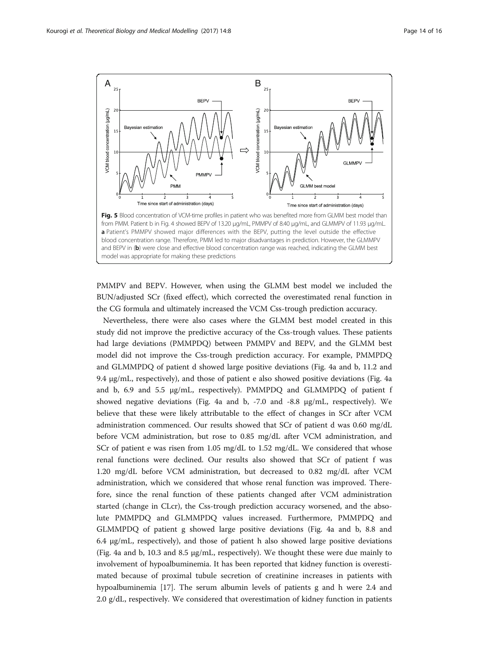<span id="page-13-0"></span>

PMMPV and BEPV. However, when using the GLMM best model we included the BUN/adjusted SCr (fixed effect), which corrected the overestimated renal function in the CG formula and ultimately increased the VCM Css-trough prediction accuracy.

Nevertheless, there were also cases where the GLMM best model created in this study did not improve the predictive accuracy of the Css-trough values. These patients had large deviations (PMMPDQ) between PMMPV and BEPV, and the GLMM best model did not improve the Css-trough prediction accuracy. For example, PMMPDQ and GLMMPDQ of patient d showed large positive deviations (Fig. [4a and b,](#page-12-0) 11.2 and 9.4 μg/mL, respectively), and those of patient e also showed positive deviations (Fig. [4a](#page-12-0) [and b](#page-12-0), 6.9 and 5.5 μg/mL, respectively). PMMPDQ and GLMMPDQ of patient f showed negative deviations (Fig. [4a and b](#page-12-0), -7.0 and -8.8 μg/mL, respectively). We believe that these were likely attributable to the effect of changes in SCr after VCM administration commenced. Our results showed that SCr of patient d was 0.60 mg/dL before VCM administration, but rose to 0.85 mg/dL after VCM administration, and SCr of patient e was risen from 1.05 mg/dL to 1.52 mg/dL. We considered that whose renal functions were declined. Our results also showed that SCr of patient f was 1.20 mg/dL before VCM administration, but decreased to 0.82 mg/dL after VCM administration, which we considered that whose renal function was improved. Therefore, since the renal function of these patients changed after VCM administration started (change in CLcr), the Css-trough prediction accuracy worsened, and the absolute PMMPDQ and GLMMPDQ values increased. Furthermore, PMMPDQ and GLMMPDQ of patient g showed large positive deviations (Fig. [4a and b,](#page-12-0) 8.8 and 6.4 μg/mL, respectively), and those of patient h also showed large positive deviations (Fig. [4a and b](#page-12-0), 10.3 and 8.5  $\mu$ g/mL, respectively). We thought these were due mainly to involvement of hypoalbuminemia. It has been reported that kidney function is overestimated because of proximal tubule secretion of creatinine increases in patients with hypoalbuminemia [[17](#page-15-0)]. The serum albumin levels of patients g and h were 2.4 and 2.0 g/dL, respectively. We considered that overestimation of kidney function in patients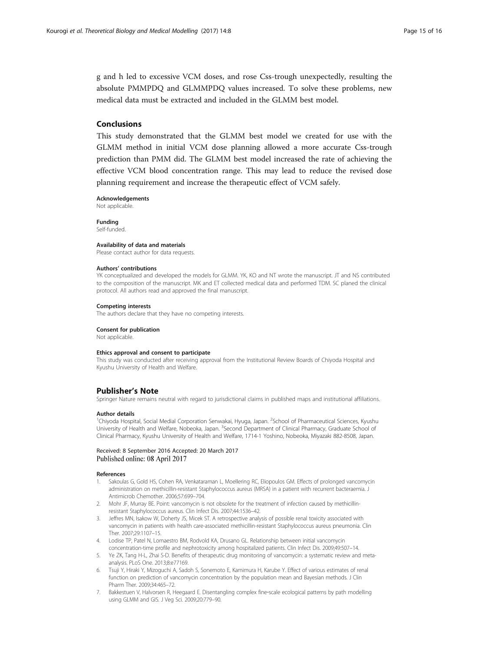<span id="page-14-0"></span>g and h led to excessive VCM doses, and rose Css-trough unexpectedly, resulting the absolute PMMPDQ and GLMMPDQ values increased. To solve these problems, new medical data must be extracted and included in the GLMM best model.

## Conclusions

This study demonstrated that the GLMM best model we created for use with the GLMM method in initial VCM dose planning allowed a more accurate Css-trough prediction than PMM did. The GLMM best model increased the rate of achieving the effective VCM blood concentration range. This may lead to reduce the revised dose planning requirement and increase the therapeutic effect of VCM safely.

#### Acknowledgements

Not applicable.

#### Funding

Self-funded.

### Availability of data and materials

Please contact author for data requests.

#### Authors' contributions

YK conceptualized and developed the models for GLMM. YK, KO and NT wrote the manuscript. JT and NS contributed to the composition of the manuscript. MK and ET collected medical data and performed TDM. SC planed the clinical protocol. All authors read and approved the final manuscript.

#### Competing interests

The authors declare that they have no competing interests.

#### Consent for publication

Not applicable.

#### Ethics approval and consent to participate

This study was conducted after receiving approval from the Institutional Review Boards of Chiyoda Hospital and Kyushu University of Health and Welfare.

#### Publisher's Note

Springer Nature remains neutral with regard to jurisdictional claims in published maps and institutional affiliations.

#### Author details

<sup>1</sup>Chiyoda Hospital, Social Medial Corporation Senwakai, Hyuga, Japan. <sup>2</sup>School of Pharmaceutical Sciences, Kyushu University of Health and Welfare, Nobeoka, Japan. <sup>3</sup>Second Department of Clinical Pharmacy, Graduate School of Clinical Pharmacy, Kyushu University of Health and Welfare, 1714-1 Yoshino, Nobeoka, Miyazaki 882-8508, Japan.

#### Received: 8 September 2016 Accepted: 20 March 2017 Published online: 08 April 2017

#### References

- 1. Sakoulas G, Gold HS, Cohen RA, Venkataraman L, Moellering RC, Eliopoulos GM. Effects of prolonged vancomycin administration on methicillin-resistant Staphylococcus aureus (MRSA) in a patient with recurrent bacteraemia. J Antimicrob Chemother. 2006;57:699–704.
- 2. Mohr JF, Murray BE. Point: vancomycin is not obsolete for the treatment of infection caused by methicillinresistant Staphylococcus aureus. Clin Infect Dis. 2007;44:1536–42.
- 3. Jeffres MN, Isakow W, Doherty JS, Micek ST. A retrospective analysis of possible renal toxicity associated with vancomycin in patients with health care-associated methicillin-resistant Staphylococcus aureus pneumonia. Clin Ther. 2007;29:1107–15.
- 4. Lodise TP, Patel N, Lomaestro BM, Rodvold KA, Drusano GL. Relationship between initial vancomycin concentration-time profile and nephrotoxicity among hospitalized patients. Clin Infect Dis. 2009;49:507–14.
- 5. Ye ZK, Tang H-L, Zhai S-D. Benefits of therapeutic drug monitoring of vancomycin: a systematic review and metaanalysis. PLoS One. 2013;8:e77169.
- 6. Tsuji Y, Hiraki Y, Mizoguchi A, Sadoh S, Sonemoto E, Kamimura H, Karube Y. Effect of various estimates of renal function on prediction of vancomycin concentration by the population mean and Bayesian methods. J Clin Pharm Ther. 2009;34:465–72.
- 7. Bakkestuen V, Halvorsen R, Heegaard E. Disentangling complex fine-scale ecological patterns by path modelling using GLMM and GIS. J Veg Sci. 2009;20:779–90.